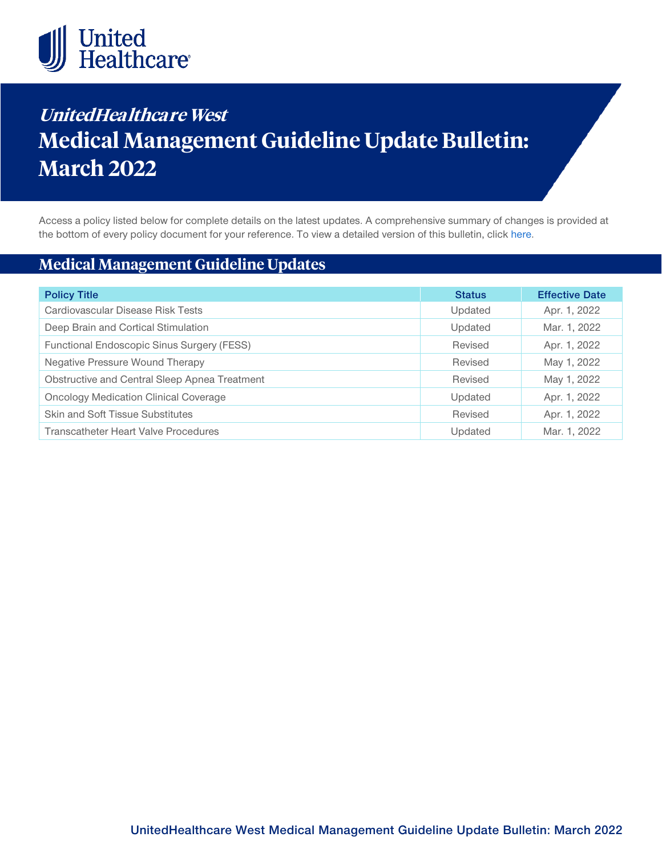

# **UnitedHealthcare West Medical Management Guideline Update Bulletin: March 2022**

Access a policy listed below for complete details on the latest updates. A comprehensive summary of changes is provided at the bottom of every policy document for your reference. To view a detailed version of this bulletin, clic[k here.](https://www.uhcprovider.com/content/dam/provider/docs/public/policies/mpub-archives/sv-mmg/sv-mmg-update-bulletin-march-2022-full.pdf)

# **Medical Management Guideline Updates**

| <b>Policy Title</b>                           | <b>Status</b> | <b>Effective Date</b> |
|-----------------------------------------------|---------------|-----------------------|
| Cardiovascular Disease Risk Tests             | Updated       | Apr. 1, 2022          |
| Deep Brain and Cortical Stimulation           | Updated       | Mar. 1, 2022          |
| Functional Endoscopic Sinus Surgery (FESS)    | Revised       | Apr. 1, 2022          |
| <b>Negative Pressure Wound Therapy</b>        | Revised       | May 1, 2022           |
| Obstructive and Central Sleep Apnea Treatment | Revised       | May 1, 2022           |
| <b>Oncology Medication Clinical Coverage</b>  | Updated       | Apr. 1, 2022          |
| <b>Skin and Soft Tissue Substitutes</b>       | Revised       | Apr. 1, 2022          |
| <b>Transcatheter Heart Valve Procedures</b>   | Updated       | Mar. 1, 2022          |